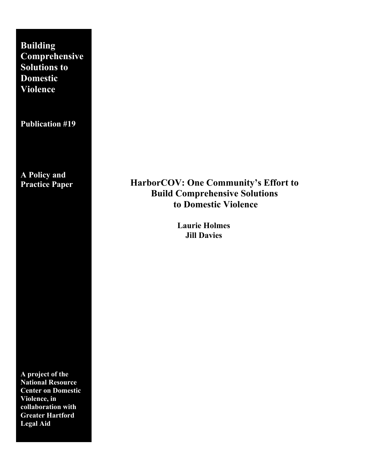**Building Comprehensive Solutions to Domestic Violence**

**Publication #19**

**A Policy and Practice Paper**

**A project of the National Resource Center on Domestic Violence, in collaboration with Greater Hartford Legal Aid**

# **HarborCOV: One Community's Effort to Build Comprehensive Solutions to Domestic Violence**

**Laurie Holmes Jill Davies**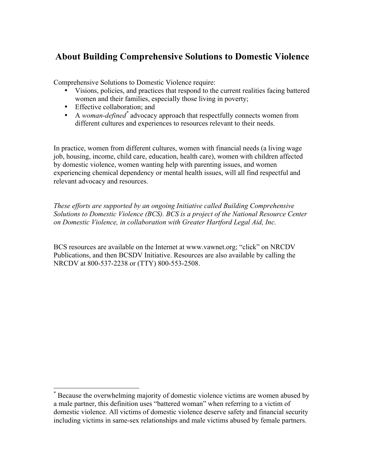# **About Building Comprehensive Solutions to Domestic Violence**

Comprehensive Solutions to Domestic Violence require:

- Visions, policies, and practices that respond to the current realities facing battered women and their families, especially those living in poverty;
- Effective collaboration; and
- A *woman-defined\** advocacy approach that respectfully connects women from different cultures and experiences to resources relevant to their needs.

In practice, women from different cultures, women with financial needs (a living wage job, housing, income, child care, education, health care), women with children affected by domestic violence, women wanting help with parenting issues, and women experiencing chemical dependency or mental health issues, will all find respectful and relevant advocacy and resources.

*These efforts are supported by an ongoing Initiative called Building Comprehensive Solutions to Domestic Violence (BCS). BCS is a project of the National Resource Center on Domestic Violence, in collaboration with Greater Hartford Legal Aid, Inc.*

BCS resources are available on the Internet at www.vawnet.org; "click" on NRCDV Publications, and then BCSDV Initiative. Resources are also available by calling the NRCDV at 800-537-2238 or (TTY) 800-553-2508.

 <sup>\*</sup> Because the overwhelming majority of domestic violence victims are women abused by a male partner, this definition uses "battered woman" when referring to a victim of domestic violence. All victims of domestic violence deserve safety and financial security including victims in same-sex relationships and male victims abused by female partners.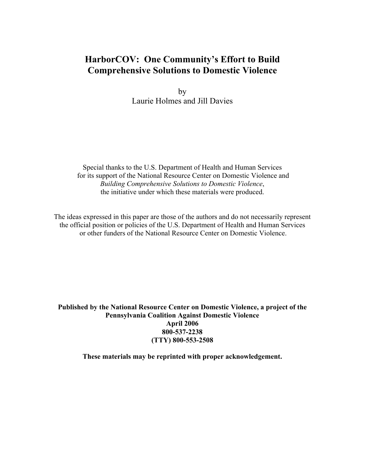# **HarborCOV: One Community's Effort to Build Comprehensive Solutions to Domestic Violence**

by Laurie Holmes and Jill Davies

Special thanks to the U.S. Department of Health and Human Services for its support of the National Resource Center on Domestic Violence and *Building Comprehensive Solutions to Domestic Violence*, the initiative under which these materials were produced.

The ideas expressed in this paper are those of the authors and do not necessarily represent the official position or policies of the U.S. Department of Health and Human Services or other funders of the National Resource Center on Domestic Violence.

**Published by the National Resource Center on Domestic Violence, a project of the Pennsylvania Coalition Against Domestic Violence April 2006 800-537-2238 (TTY) 800-553-2508**

**These materials may be reprinted with proper acknowledgement.**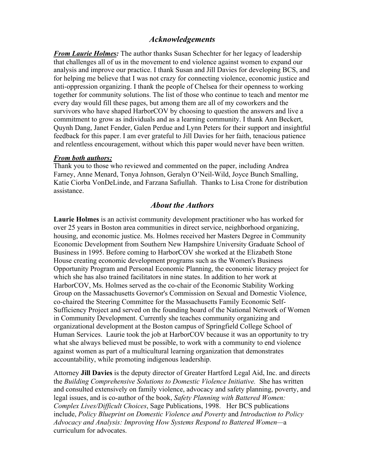### *Acknowledgements*

*From Laurie Holmes:* The author thanks Susan Schechter for her legacy of leadership that challenges all of us in the movement to end violence against women to expand our analysis and improve our practice. I thank Susan and Jill Davies for developing BCS, and for helping me believe that I was not crazy for connecting violence, economic justice and anti-oppression organizing. I thank the people of Chelsea for their openness to working together for community solutions. The list of those who continue to teach and mentor me every day would fill these pages, but among them are all of my coworkers and the survivors who have shaped HarborCOV by choosing to question the answers and live a commitment to grow as individuals and as a learning community. I thank Ann Beckert, Quynh Dang, Janet Fender, Galen Perdue and Lynn Peters for their support and insightful feedback for this paper. I am ever grateful to Jill Davies for her faith, tenacious patience and relentless encouragement, without which this paper would never have been written.

#### *From both authors:*

Thank you to those who reviewed and commented on the paper, including Andrea Farney, Anne Menard, Tonya Johnson, Geralyn O'Neil-Wild, Joyce Bunch Smalling, Katie Ciorba VonDeLinde, and Farzana Safiullah. Thanks to Lisa Crone for distribution assistance.

#### *About the Authors*

**Laurie Holmes** is an activist community development practitioner who has worked for over 25 years in Boston area communities in direct service, neighborhood organizing, housing, and economic justice. Ms. Holmes received her Masters Degree in Community Economic Development from Southern New Hampshire University Graduate School of Business in 1995. Before coming to HarborCOV she worked at the Elizabeth Stone House creating economic development programs such as the Women's Business Opportunity Program and Personal Economic Planning, the economic literacy project for which she has also trained facilitators in nine states. In addition to her work at HarborCOV, Ms. Holmes served as the co-chair of the Economic Stability Working Group on the Massachusetts Governor's Commission on Sexual and Domestic Violence, co-chaired the Steering Committee for the Massachusetts Family Economic Self-Sufficiency Project and served on the founding board of the National Network of Women in Community Development. Currently she teaches community organizing and organizational development at the Boston campus of Springfield College School of Human Services. Laurie took the job at HarborCOV because it was an opportunity to try what she always believed must be possible, to work with a community to end violence against women as part of a multicultural learning organization that demonstrates accountability, while promoting indigenous leadership.

Attorney **Jill Davies** is the deputy director of Greater Hartford Legal Aid, Inc. and directs the *Building Comprehensive Solutions to Domestic Violence Initiative.* She has written and consulted extensively on family violence, advocacy and safety planning, poverty, and legal issues, and is co-author of the book, *Safety Planning with Battered Women: Complex Lives/Difficult Choices*, Sage Publications, 1998. Her BCS publications include, *Policy Blueprint on Domestic Violence and Poverty* and *Introduction to Policy Advocacy and Analysis: Improving How Systems Respond to Battered Women—*a curriculum for advocates.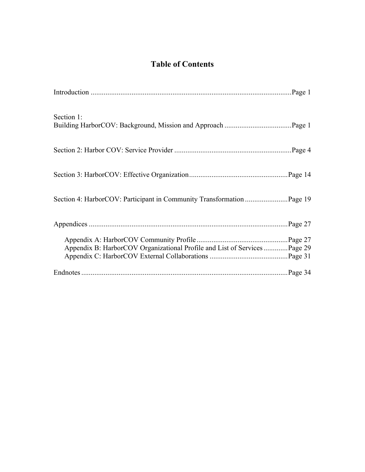# **Table of Contents**

| Section 1:                                                                 |  |
|----------------------------------------------------------------------------|--|
|                                                                            |  |
|                                                                            |  |
|                                                                            |  |
|                                                                            |  |
| Appendix B: HarborCOV Organizational Profile and List of Services  Page 29 |  |
|                                                                            |  |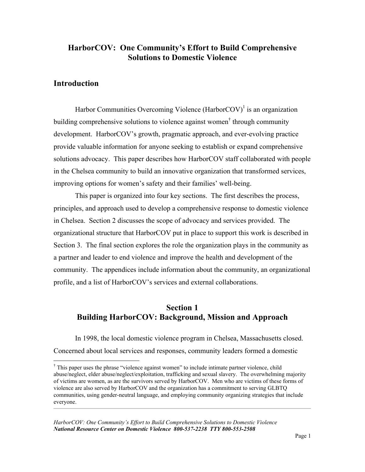## **HarborCOV: One Community's Effort to Build Comprehensive Solutions to Domestic Violence**

## **Introduction**

Harbor Communities Overcoming Violence (Harbor $COV$ )<sup>1</sup> is an organization building comprehensive solutions to violence against women<sup>†</sup> through community development. HarborCOV's growth, pragmatic approach, and ever-evolving practice provide valuable information for anyone seeking to establish or expand comprehensive solutions advocacy. This paper describes how HarborCOV staff collaborated with people in the Chelsea community to build an innovative organization that transformed services, improving options for women's safety and their families' well-being.

This paper is organized into four key sections. The first describes the process, principles, and approach used to develop a comprehensive response to domestic violence in Chelsea. Section 2 discusses the scope of advocacy and services provided. The organizational structure that HarborCOV put in place to support this work is described in Section 3. The final section explores the role the organization plays in the community as a partner and leader to end violence and improve the health and development of the community. The appendices include information about the community, an organizational profile, and a list of HarborCOV's services and external collaborations.

## **Section 1 Building HarborCOV: Background, Mission and Approach**

In 1998, the local domestic violence program in Chelsea, Massachusetts closed. Concerned about local services and responses, community leaders formed a domestic

 <sup>†</sup>  $\dagger$  This paper uses the phrase "violence against women" to include intimate partner violence, child abuse/neglect, elder abuse/neglect/exploitation, trafficking and sexual slavery. The overwhelming majority of victims are women, as are the survivors served by HarborCOV. Men who are victims of these forms of violence are also served by HarborCOV and the organization has a commitment to serving GLBTQ communities, using gender-neutral language, and employing community organizing strategies that include everyone.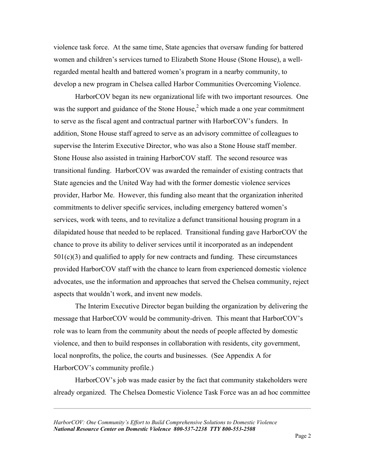violence task force. At the same time, State agencies that oversaw funding for battered women and children's services turned to Elizabeth Stone House (Stone House), a wellregarded mental health and battered women's program in a nearby community, to develop a new program in Chelsea called Harbor Communities Overcoming Violence.

HarborCOV began its new organizational life with two important resources. One was the support and guidance of the Stone House, $<sup>2</sup>$  which made a one year commitment</sup> to serve as the fiscal agent and contractual partner with HarborCOV's funders. In addition, Stone House staff agreed to serve as an advisory committee of colleagues to supervise the Interim Executive Director, who was also a Stone House staff member. Stone House also assisted in training HarborCOV staff. The second resource was transitional funding. HarborCOV was awarded the remainder of existing contracts that State agencies and the United Way had with the former domestic violence services provider, Harbor Me. However, this funding also meant that the organization inherited commitments to deliver specific services, including emergency battered women's services, work with teens, and to revitalize a defunct transitional housing program in a dilapidated house that needed to be replaced. Transitional funding gave HarborCOV the chance to prove its ability to deliver services until it incorporated as an independent  $501(c)(3)$  and qualified to apply for new contracts and funding. These circumstances provided HarborCOV staff with the chance to learn from experienced domestic violence advocates, use the information and approaches that served the Chelsea community, reject aspects that wouldn't work, and invent new models.

The Interim Executive Director began building the organization by delivering the message that HarborCOV would be community-driven. This meant that HarborCOV's role was to learn from the community about the needs of people affected by domestic violence, and then to build responses in collaboration with residents, city government, local nonprofits, the police, the courts and businesses. (See Appendix A for HarborCOV's community profile.)

HarborCOV's job was made easier by the fact that community stakeholders were already organized. The Chelsea Domestic Violence Task Force was an ad hoc committee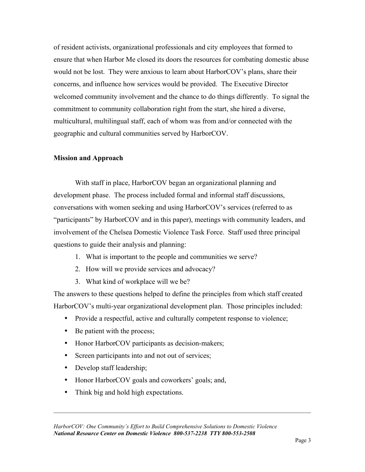of resident activists, organizational professionals and city employees that formed to ensure that when Harbor Me closed its doors the resources for combating domestic abuse would not be lost. They were anxious to learn about HarborCOV's plans, share their concerns, and influence how services would be provided. The Executive Director welcomed community involvement and the chance to do things differently. To signal the commitment to community collaboration right from the start, she hired a diverse, multicultural, multilingual staff, each of whom was from and/or connected with the geographic and cultural communities served by HarborCOV.

### **Mission and Approach**

With staff in place, HarborCOV began an organizational planning and development phase. The process included formal and informal staff discussions, conversations with women seeking and using HarborCOV's services (referred to as "participants" by HarborCOV and in this paper), meetings with community leaders, and involvement of the Chelsea Domestic Violence Task Force. Staff used three principal questions to guide their analysis and planning:

- 1. What is important to the people and communities we serve?
- 2. How will we provide services and advocacy?
- 3. What kind of workplace will we be?

The answers to these questions helped to define the principles from which staff created HarborCOV's multi-year organizational development plan. Those principles included:

- Provide a respectful, active and culturally competent response to violence;
- Be patient with the process;
- Honor HarborCOV participants as decision-makers;
- Screen participants into and not out of services;
- Develop staff leadership;
- Honor HarborCOV goals and coworkers' goals; and,
- Think big and hold high expectations.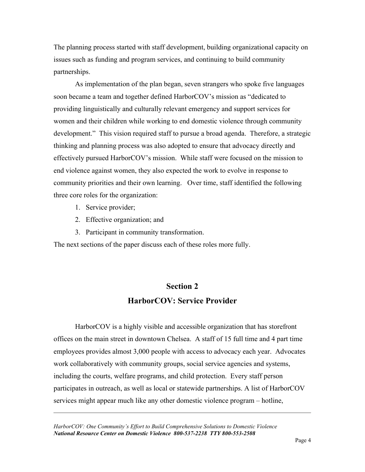The planning process started with staff development, building organizational capacity on issues such as funding and program services, and continuing to build community partnerships.

As implementation of the plan began, seven strangers who spoke five languages soon became a team and together defined HarborCOV's mission as "dedicated to providing linguistically and culturally relevant emergency and support services for women and their children while working to end domestic violence through community development." This vision required staff to pursue a broad agenda. Therefore, a strategic thinking and planning process was also adopted to ensure that advocacy directly and effectively pursued HarborCOV's mission. While staff were focused on the mission to end violence against women, they also expected the work to evolve in response to community priorities and their own learning. Over time, staff identified the following three core roles for the organization:

- 1. Service provider;
- 2. Effective organization; and
- 3. Participant in community transformation.

The next sections of the paper discuss each of these roles more fully.

# **Section 2 HarborCOV: Service Provider**

HarborCOV is a highly visible and accessible organization that has storefront offices on the main street in downtown Chelsea. A staff of 15 full time and 4 part time employees provides almost 3,000 people with access to advocacy each year. Advocates work collaboratively with community groups, social service agencies and systems, including the courts, welfare programs, and child protection. Every staff person participates in outreach, as well as local or statewide partnerships. A list of HarborCOV services might appear much like any other domestic violence program – hotline,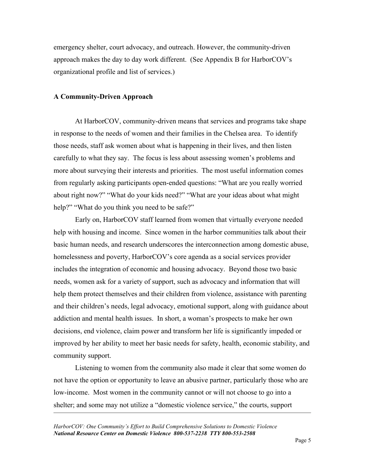emergency shelter, court advocacy, and outreach. However, the community-driven approach makes the day to day work different. (See Appendix B for HarborCOV's organizational profile and list of services.)

#### **A Community-Driven Approach**

At HarborCOV, community-driven means that services and programs take shape in response to the needs of women and their families in the Chelsea area. To identify those needs, staff ask women about what is happening in their lives, and then listen carefully to what they say. The focus is less about assessing women's problems and more about surveying their interests and priorities. The most useful information comes from regularly asking participants open-ended questions: "What are you really worried about right now?" "What do your kids need?" "What are your ideas about what might help?" "What do you think you need to be safe?"

Early on, HarborCOV staff learned from women that virtually everyone needed help with housing and income. Since women in the harbor communities talk about their basic human needs, and research underscores the interconnection among domestic abuse, homelessness and poverty, HarborCOV's core agenda as a social services provider includes the integration of economic and housing advocacy. Beyond those two basic needs, women ask for a variety of support, such as advocacy and information that will help them protect themselves and their children from violence, assistance with parenting and their children's needs, legal advocacy, emotional support, along with guidance about addiction and mental health issues. In short, a woman's prospects to make her own decisions, end violence, claim power and transform her life is significantly impeded or improved by her ability to meet her basic needs for safety, health, economic stability, and community support.

Listening to women from the community also made it clear that some women do not have the option or opportunity to leave an abusive partner, particularly those who are low-income. Most women in the community cannot or will not choose to go into a shelter; and some may not utilize a "domestic violence service," the courts, support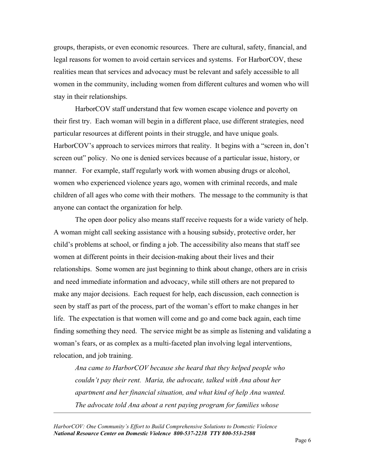groups, therapists, or even economic resources. There are cultural, safety, financial, and legal reasons for women to avoid certain services and systems. For HarborCOV, these realities mean that services and advocacy must be relevant and safely accessible to all women in the community, including women from different cultures and women who will stay in their relationships.

HarborCOV staff understand that few women escape violence and poverty on their first try. Each woman will begin in a different place, use different strategies, need particular resources at different points in their struggle, and have unique goals. HarborCOV's approach to services mirrors that reality. It begins with a "screen in, don't screen out" policy. No one is denied services because of a particular issue, history, or manner. For example, staff regularly work with women abusing drugs or alcohol, women who experienced violence years ago, women with criminal records, and male children of all ages who come with their mothers. The message to the community is that anyone can contact the organization for help.

The open door policy also means staff receive requests for a wide variety of help. A woman might call seeking assistance with a housing subsidy, protective order, her child's problems at school, or finding a job. The accessibility also means that staff see women at different points in their decision-making about their lives and their relationships. Some women are just beginning to think about change, others are in crisis and need immediate information and advocacy, while still others are not prepared to make any major decisions. Each request for help, each discussion, each connection is seen by staff as part of the process, part of the woman's effort to make changes in her life. The expectation is that women will come and go and come back again, each time finding something they need. The service might be as simple as listening and validating a woman's fears, or as complex as a multi-faceted plan involving legal interventions, relocation, and job training.

*Ana came to HarborCOV because she heard that they helped people who couldn't pay their rent. Maria, the advocate, talked with Ana about her apartment and her financial situation, and what kind of help Ana wanted. The advocate told Ana about a rent paying program for families whose*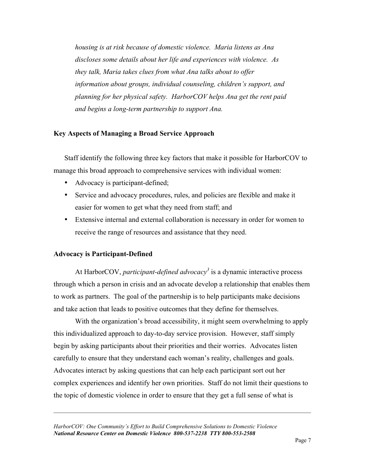*housing is at risk because of domestic violence. Maria listens as Ana discloses some details about her life and experiences with violence. As they talk, Maria takes clues from what Ana talks about to offer information about groups, individual counseling, children's support, and planning for her physical safety. HarborCOV helps Ana get the rent paid and begins a long-term partnership to support Ana.*

### **Key Aspects of Managing a Broad Service Approach**

Staff identify the following three key factors that make it possible for HarborCOV to manage this broad approach to comprehensive services with individual women:

- Advocacy is participant-defined;
- Service and advocacy procedures, rules, and policies are flexible and make it easier for women to get what they need from staff; and
- Extensive internal and external collaboration is necessary in order for women to receive the range of resources and assistance that they need.

### **Advocacy is Participant-Defined**

At HarborCOV, *participant-defined advocacy*<sup>3</sup> is a dynamic interactive process through which a person in crisis and an advocate develop a relationship that enables them to work as partners. The goal of the partnership is to help participants make decisions and take action that leads to positive outcomes that they define for themselves.

With the organization's broad accessibility, it might seem overwhelming to apply this individualized approach to day-to-day service provision. However, staff simply begin by asking participants about their priorities and their worries. Advocates listen carefully to ensure that they understand each woman's reality, challenges and goals. Advocates interact by asking questions that can help each participant sort out her complex experiences and identify her own priorities. Staff do not limit their questions to the topic of domestic violence in order to ensure that they get a full sense of what is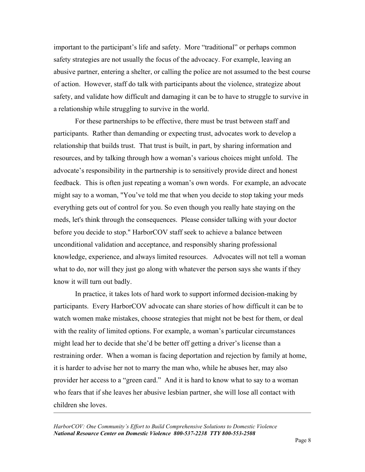important to the participant's life and safety. More "traditional" or perhaps common safety strategies are not usually the focus of the advocacy. For example, leaving an abusive partner, entering a shelter, or calling the police are not assumed to the best course of action. However, staff do talk with participants about the violence, strategize about safety, and validate how difficult and damaging it can be to have to struggle to survive in a relationship while struggling to survive in the world.

For these partnerships to be effective, there must be trust between staff and participants. Rather than demanding or expecting trust, advocates work to develop a relationship that builds trust. That trust is built, in part, by sharing information and resources, and by talking through how a woman's various choices might unfold. The advocate's responsibility in the partnership is to sensitively provide direct and honest feedback. This is often just repeating a woman's own words. For example, an advocate might say to a woman, "You've told me that when you decide to stop taking your meds everything gets out of control for you. So even though you really hate staying on the meds, let's think through the consequences. Please consider talking with your doctor before you decide to stop." HarborCOV staff seek to achieve a balance between unconditional validation and acceptance, and responsibly sharing professional knowledge, experience, and always limited resources. Advocates will not tell a woman what to do, nor will they just go along with whatever the person says she wants if they know it will turn out badly.

In practice, it takes lots of hard work to support informed decision-making by participants. Every HarborCOV advocate can share stories of how difficult it can be to watch women make mistakes, choose strategies that might not be best for them, or deal with the reality of limited options. For example, a woman's particular circumstances might lead her to decide that she'd be better off getting a driver's license than a restraining order. When a woman is facing deportation and rejection by family at home, it is harder to advise her not to marry the man who, while he abuses her, may also provider her access to a "green card." And it is hard to know what to say to a woman who fears that if she leaves her abusive lesbian partner, she will lose all contact with children she loves.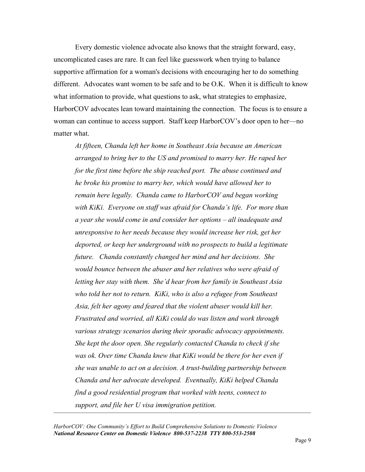Every domestic violence advocate also knows that the straight forward, easy, uncomplicated cases are rare. It can feel like guesswork when trying to balance supportive affirmation for a woman's decisions with encouraging her to do something different. Advocates want women to be safe and to be O.K. When it is difficult to know what information to provide, what questions to ask, what strategies to emphasize, HarborCOV advocates lean toward maintaining the connection. The focus is to ensure a woman can continue to access support. Staff keep HarborCOV's door open to her—no matter what.

*At fifteen, Chanda left her home in Southeast Asia because an American arranged to bring her to the US and promised to marry her. He raped her for the first time before the ship reached port. The abuse continued and he broke his promise to marry her, which would have allowed her to remain here legally. Chanda came to HarborCOV and began working with KiKi. Everyone on staff was afraid for Chanda's life. For more than a year she would come in and consider her options – all inadequate and unresponsive to her needs because they would increase her risk, get her deported, or keep her underground with no prospects to build a legitimate future. Chanda constantly changed her mind and her decisions. She would bounce between the abuser and her relatives who were afraid of letting her stay with them. She'd hear from her family in Southeast Asia who told her not to return. KiKi, who is also a refugee from Southeast Asia, felt her agony and feared that the violent abuser would kill her. Frustrated and worried, all KiKi could do was listen and work through various strategy scenarios during their sporadic advocacy appointments. She kept the door open. She regularly contacted Chanda to check if she was ok. Over time Chanda knew that KiKi would be there for her even if she was unable to act on a decision. A trust-building partnership between Chanda and her advocate developed. Eventually, KiKi helped Chanda find a good residential program that worked with teens, connect to support, and file her U visa immigration petition.*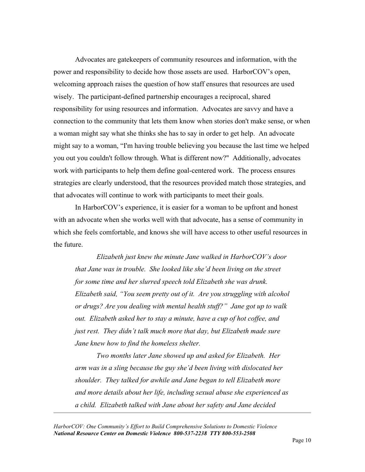Advocates are gatekeepers of community resources and information, with the power and responsibility to decide how those assets are used. HarborCOV's open, welcoming approach raises the question of how staff ensures that resources are used wisely. The participant-defined partnership encourages a reciprocal, shared responsibility for using resources and information. Advocates are savvy and have a connection to the community that lets them know when stories don't make sense, or when a woman might say what she thinks she has to say in order to get help. An advocate might say to a woman, "I'm having trouble believing you because the last time we helped you out you couldn't follow through. What is different now?" Additionally, advocates work with participants to help them define goal-centered work. The process ensures strategies are clearly understood, that the resources provided match those strategies, and that advocates will continue to work with participants to meet their goals.

In HarborCOV's experience, it is easier for a woman to be upfront and honest with an advocate when she works well with that advocate, has a sense of community in which she feels comfortable, and knows she will have access to other useful resources in the future.

*Elizabeth just knew the minute Jane walked in HarborCOV's door that Jane was in trouble. She looked like she'd been living on the street for some time and her slurred speech told Elizabeth she was drunk. Elizabeth said, "You seem pretty out of it. Are you struggling with alcohol or drugs? Are you dealing with mental health stuff?" Jane got up to walk out. Elizabeth asked her to stay a minute, have a cup of hot coffee, and just rest. They didn't talk much more that day, but Elizabeth made sure Jane knew how to find the homeless shelter.*

*Two months later Jane showed up and asked for Elizabeth. Her arm was in a sling because the guy she'd been living with dislocated her shoulder. They talked for awhile and Jane began to tell Elizabeth more and more details about her life, including sexual abuse she experienced as a child. Elizabeth talked with Jane about her safety and Jane decided*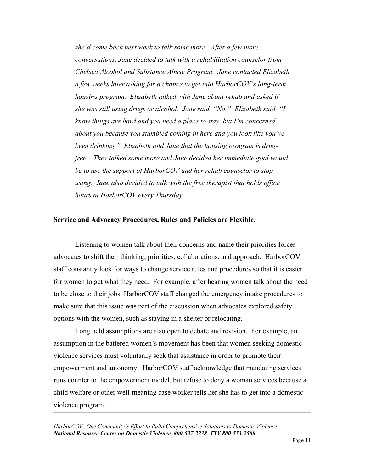*she'd come back next week to talk some more. After a few more conversations, Jane decided to talk with a rehabilitation counselor from Chelsea Alcohol and Substance Abuse Program. Jane contacted Elizabeth a few weeks later asking for a chance to get into HarborCOV's long-term housing program. Elizabeth talked with Jane about rehab and asked if she was still using drugs or alcohol. Jane said, "No." Elizabeth said, "I know things are hard and you need a place to stay, but I'm concerned about you because you stumbled coming in here and you look like you've been drinking." Elizabeth told Jane that the housing program is drugfree. They talked some more and Jane decided her immediate goal would be to use the support of HarborCOV and her rehab counselor to stop using. Jane also decided to talk with the free therapist that holds office hours at HarborCOV every Thursday.*

#### **Service and Advocacy Procedures, Rules and Policies are Flexible.**

Listening to women talk about their concerns and name their priorities forces advocates to shift their thinking, priorities, collaborations, and approach. HarborCOV staff constantly look for ways to change service rules and procedures so that it is easier for women to get what they need. For example, after hearing women talk about the need to be close to their jobs, HarborCOV staff changed the emergency intake procedures to make sure that this issue was part of the discussion when advocates explored safety options with the women, such as staying in a shelter or relocating.

Long held assumptions are also open to debate and revision. For example, an assumption in the battered women's movement has been that women seeking domestic violence services must voluntarily seek that assistance in order to promote their empowerment and autonomy. HarborCOV staff acknowledge that mandating services runs counter to the empowerment model, but refuse to deny a woman services because a child welfare or other well-meaning case worker tells her she has to get into a domestic violence program.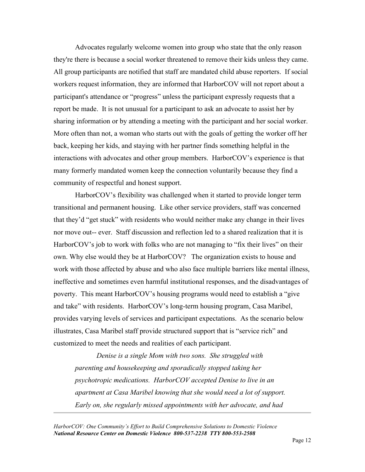Advocates regularly welcome women into group who state that the only reason they're there is because a social worker threatened to remove their kids unless they came. All group participants are notified that staff are mandated child abuse reporters. If social workers request information, they are informed that HarborCOV will not report about a participant's attendance or "progress" unless the participant expressly requests that a report be made. It is not unusual for a participant to ask an advocate to assist her by sharing information or by attending a meeting with the participant and her social worker. More often than not, a woman who starts out with the goals of getting the worker off her back, keeping her kids, and staying with her partner finds something helpful in the interactions with advocates and other group members. HarborCOV's experience is that many formerly mandated women keep the connection voluntarily because they find a community of respectful and honest support.

HarborCOV's flexibility was challenged when it started to provide longer term transitional and permanent housing. Like other service providers, staff was concerned that they'd "get stuck" with residents who would neither make any change in their lives nor move out-- ever. Staff discussion and reflection led to a shared realization that it is HarborCOV's job to work with folks who are not managing to "fix their lives" on their own. Why else would they be at HarborCOV? The organization exists to house and work with those affected by abuse and who also face multiple barriers like mental illness, ineffective and sometimes even harmful institutional responses, and the disadvantages of poverty. This meant HarborCOV's housing programs would need to establish a "give and take" with residents. HarborCOV's long-term housing program, Casa Maribel, provides varying levels of services and participant expectations. As the scenario below illustrates, Casa Maribel staff provide structured support that is "service rich" and customized to meet the needs and realities of each participant.

*Denise is a single Mom with two sons. She struggled with parenting and housekeeping and sporadically stopped taking her psychotropic medications. HarborCOV accepted Denise to live in an apartment at Casa Maribel knowing that she would need a lot of support. Early on, she regularly missed appointments with her advocate, and had*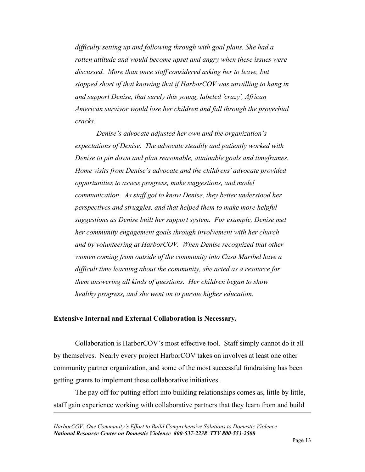*difficulty setting up and following through with goal plans. She had a rotten attitude and would become upset and angry when these issues were discussed. More than once staff considered asking her to leave, but stopped short of that knowing that if HarborCOV was unwilling to hang in and support Denise, that surely this young, labeled 'crazy', African American survivor would lose her children and fall through the proverbial cracks.*

*Denise's advocate adjusted her own and the organization's expectations of Denise. The advocate steadily and patiently worked with Denise to pin down and plan reasonable, attainable goals and timeframes. Home visits from Denise's advocate and the childrens' advocate provided opportunities to assess progress, make suggestions, and model communication. As staff got to know Denise, they better understood her perspectives and struggles, and that helped them to make more helpful suggestions as Denise built her support system. For example, Denise met her community engagement goals through involvement with her church and by volunteering at HarborCOV. When Denise recognized that other women coming from outside of the community into Casa Maribel have a difficult time learning about the community, she acted as a resource for them answering all kinds of questions. Her children began to show healthy progress, and she went on to pursue higher education.*

### **Extensive Internal and External Collaboration is Necessary.**

Collaboration is HarborCOV's most effective tool. Staff simply cannot do it all by themselves. Nearly every project HarborCOV takes on involves at least one other community partner organization, and some of the most successful fundraising has been getting grants to implement these collaborative initiatives.

The pay off for putting effort into building relationships comes as, little by little, staff gain experience working with collaborative partners that they learn from and build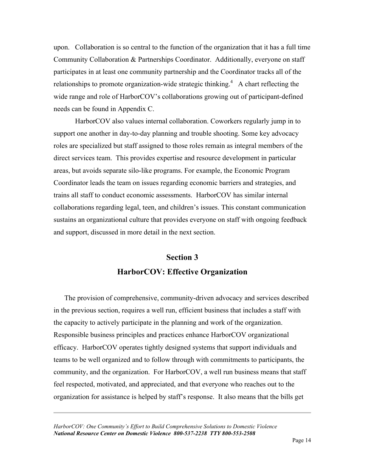upon. Collaboration is so central to the function of the organization that it has a full time Community Collaboration & Partnerships Coordinator. Additionally, everyone on staff participates in at least one community partnership and the Coordinator tracks all of the relationships to promote organization-wide strategic thinking.<sup>4</sup> A chart reflecting the wide range and role of HarborCOV's collaborations growing out of participant-defined needs can be found in Appendix C.

HarborCOV also values internal collaboration. Coworkers regularly jump in to support one another in day-to-day planning and trouble shooting. Some key advocacy roles are specialized but staff assigned to those roles remain as integral members of the direct services team. This provides expertise and resource development in particular areas, but avoids separate silo-like programs. For example, the Economic Program Coordinator leads the team on issues regarding economic barriers and strategies, and trains all staff to conduct economic assessments. HarborCOV has similar internal collaborations regarding legal, teen, and children's issues. This constant communication sustains an organizational culture that provides everyone on staff with ongoing feedback and support, discussed in more detail in the next section.

# **Section 3 HarborCOV: Effective Organization**

The provision of comprehensive, community-driven advocacy and services described in the previous section, requires a well run, efficient business that includes a staff with the capacity to actively participate in the planning and work of the organization. Responsible business principles and practices enhance HarborCOV organizational efficacy. HarborCOV operates tightly designed systems that support individuals and teams to be well organized and to follow through with commitments to participants, the community, and the organization. For HarborCOV, a well run business means that staff feel respected, motivated, and appreciated, and that everyone who reaches out to the organization for assistance is helped by staff's response. It also means that the bills get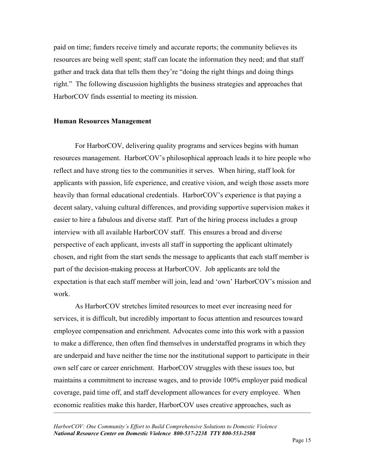paid on time; funders receive timely and accurate reports; the community believes its resources are being well spent; staff can locate the information they need; and that staff gather and track data that tells them they're "doing the right things and doing things right." The following discussion highlights the business strategies and approaches that HarborCOV finds essential to meeting its mission.

#### **Human Resources Management**

For HarborCOV, delivering quality programs and services begins with human resources management. HarborCOV's philosophical approach leads it to hire people who reflect and have strong ties to the communities it serves. When hiring, staff look for applicants with passion, life experience, and creative vision, and weigh those assets more heavily than formal educational credentials. HarborCOV's experience is that paying a decent salary, valuing cultural differences, and providing supportive supervision makes it easier to hire a fabulous and diverse staff. Part of the hiring process includes a group interview with all available HarborCOV staff. This ensures a broad and diverse perspective of each applicant, invests all staff in supporting the applicant ultimately chosen, and right from the start sends the message to applicants that each staff member is part of the decision-making process at HarborCOV. Job applicants are told the expectation is that each staff member will join, lead and 'own' HarborCOV's mission and work.

As HarborCOV stretches limited resources to meet ever increasing need for services, it is difficult, but incredibly important to focus attention and resources toward employee compensation and enrichment. Advocates come into this work with a passion to make a difference, then often find themselves in understaffed programs in which they are underpaid and have neither the time nor the institutional support to participate in their own self care or career enrichment. HarborCOV struggles with these issues too, but maintains a commitment to increase wages, and to provide 100% employer paid medical coverage, paid time off, and staff development allowances for every employee. When economic realities make this harder, HarborCOV uses creative approaches, such as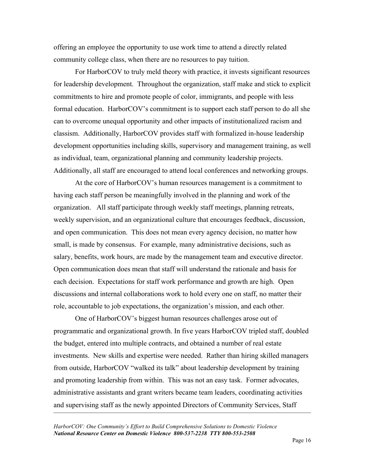offering an employee the opportunity to use work time to attend a directly related community college class, when there are no resources to pay tuition.

For HarborCOV to truly meld theory with practice, it invests significant resources for leadership development. Throughout the organization, staff make and stick to explicit commitments to hire and promote people of color, immigrants, and people with less formal education. HarborCOV's commitment is to support each staff person to do all she can to overcome unequal opportunity and other impacts of institutionalized racism and classism. Additionally, HarborCOV provides staff with formalized in-house leadership development opportunities including skills, supervisory and management training, as well as individual, team, organizational planning and community leadership projects. Additionally, all staff are encouraged to attend local conferences and networking groups.

At the core of HarborCOV's human resources management is a commitment to having each staff person be meaningfully involved in the planning and work of the organization. All staff participate through weekly staff meetings, planning retreats, weekly supervision, and an organizational culture that encourages feedback, discussion, and open communication. This does not mean every agency decision, no matter how small, is made by consensus. For example, many administrative decisions, such as salary, benefits, work hours, are made by the management team and executive director. Open communication does mean that staff will understand the rationale and basis for each decision. Expectations for staff work performance and growth are high. Open discussions and internal collaborations work to hold every one on staff, no matter their role, accountable to job expectations, the organization's mission, and each other.

One of HarborCOV's biggest human resources challenges arose out of programmatic and organizational growth. In five years HarborCOV tripled staff, doubled the budget, entered into multiple contracts, and obtained a number of real estate investments. New skills and expertise were needed. Rather than hiring skilled managers from outside, HarborCOV "walked its talk" about leadership development by training and promoting leadership from within. This was not an easy task. Former advocates, administrative assistants and grant writers became team leaders, coordinating activities and supervising staff as the newly appointed Directors of Community Services, Staff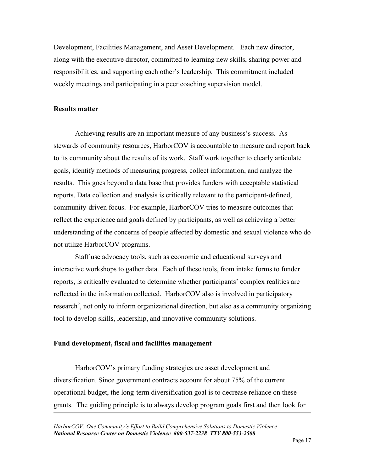Development, Facilities Management, and Asset Development. Each new director, along with the executive director, committed to learning new skills, sharing power and responsibilities, and supporting each other's leadership. This commitment included weekly meetings and participating in a peer coaching supervision model.

#### **Results matter**

Achieving results are an important measure of any business's success. As stewards of community resources, HarborCOV is accountable to measure and report back to its community about the results of its work. Staff work together to clearly articulate goals, identify methods of measuring progress, collect information, and analyze the results. This goes beyond a data base that provides funders with acceptable statistical reports. Data collection and analysis is critically relevant to the participant-defined, community-driven focus. For example, HarborCOV tries to measure outcomes that reflect the experience and goals defined by participants, as well as achieving a better understanding of the concerns of people affected by domestic and sexual violence who do not utilize HarborCOV programs.

Staff use advocacy tools, such as economic and educational surveys and interactive workshops to gather data. Each of these tools, from intake forms to funder reports, is critically evaluated to determine whether participants' complex realities are reflected in the information collected. HarborCOV also is involved in participatory research<sup>5</sup>, not only to inform organizational direction, but also as a community organizing tool to develop skills, leadership, and innovative community solutions.

#### **Fund development, fiscal and facilities management**

HarborCOV's primary funding strategies are asset development and diversification. Since government contracts account for about 75% of the current operational budget, the long-term diversification goal is to decrease reliance on these grants. The guiding principle is to always develop program goals first and then look for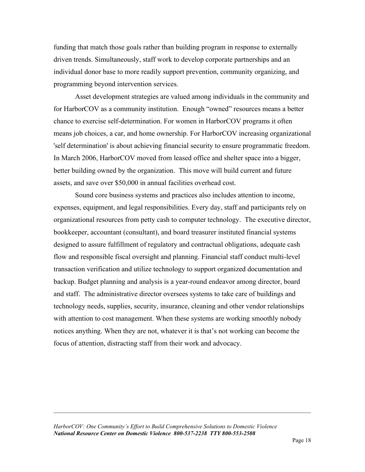funding that match those goals rather than building program in response to externally driven trends. Simultaneously, staff work to develop corporate partnerships and an individual donor base to more readily support prevention, community organizing, and programming beyond intervention services.

Asset development strategies are valued among individuals in the community and for HarborCOV as a community institution. Enough "owned" resources means a better chance to exercise self-determination. For women in HarborCOV programs it often means job choices, a car, and home ownership. For HarborCOV increasing organizational 'self determination' is about achieving financial security to ensure programmatic freedom. In March 2006, HarborCOV moved from leased office and shelter space into a bigger, better building owned by the organization. This move will build current and future assets, and save over \$50,000 in annual facilities overhead cost.

Sound core business systems and practices also includes attention to income, expenses, equipment, and legal responsibilities. Every day, staff and participants rely on organizational resources from petty cash to computer technology. The executive director, bookkeeper, accountant (consultant), and board treasurer instituted financial systems designed to assure fulfillment of regulatory and contractual obligations, adequate cash flow and responsible fiscal oversight and planning. Financial staff conduct multi-level transaction verification and utilize technology to support organized documentation and backup. Budget planning and analysis is a year-round endeavor among director, board and staff. The administrative director oversees systems to take care of buildings and technology needs, supplies, security, insurance, cleaning and other vendor relationships with attention to cost management. When these systems are working smoothly nobody notices anything. When they are not, whatever it is that's not working can become the focus of attention, distracting staff from their work and advocacy.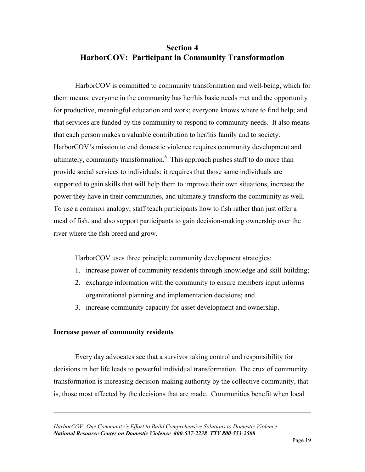# **Section 4 HarborCOV: Participant in Community Transformation**

HarborCOV is committed to community transformation and well-being, which for them means: everyone in the community has her/his basic needs met and the opportunity for productive, meaningful education and work; everyone knows where to find help; and that services are funded by the community to respond to community needs. It also means that each person makes a valuable contribution to her/his family and to society. HarborCOV's mission to end domestic violence requires community development and ultimately, community transformation.<sup>6</sup> This approach pushes staff to do more than provide social services to individuals; it requires that those same individuals are supported to gain skills that will help them to improve their own situations, increase the power they have in their communities, and ultimately transform the community as well. To use a common analogy, staff teach participants how to fish rather than just offer a meal of fish, and also support participants to gain decision-making ownership over the river where the fish breed and grow.

HarborCOV uses three principle community development strategies:

- 1. increase power of community residents through knowledge and skill building;
- 2. exchange information with the community to ensure members input informs organizational planning and implementation decisions; and
- 3. increase community capacity for asset development and ownership.

### **Increase power of community residents**

Every day advocates see that a survivor taking control and responsibility for decisions in her life leads to powerful individual transformation. The crux of community transformation is increasing decision-making authority by the collective community, that is, those most affected by the decisions that are made. Communities benefit when local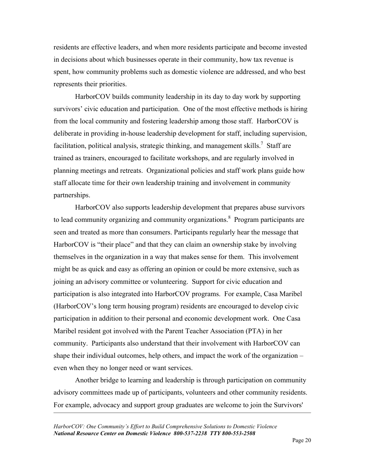residents are effective leaders, and when more residents participate and become invested in decisions about which businesses operate in their community, how tax revenue is spent, how community problems such as domestic violence are addressed, and who best represents their priorities.

HarborCOV builds community leadership in its day to day work by supporting survivors' civic education and participation. One of the most effective methods is hiring from the local community and fostering leadership among those staff. HarborCOV is deliberate in providing in-house leadership development for staff, including supervision, facilitation, political analysis, strategic thinking, and management skills.<sup>7</sup> Staff are trained as trainers, encouraged to facilitate workshops, and are regularly involved in planning meetings and retreats. Organizational policies and staff work plans guide how staff allocate time for their own leadership training and involvement in community partnerships.

HarborCOV also supports leadership development that prepares abuse survivors to lead community organizing and community organizations. $\delta$  Program participants are seen and treated as more than consumers. Participants regularly hear the message that HarborCOV is "their place" and that they can claim an ownership stake by involving themselves in the organization in a way that makes sense for them. This involvement might be as quick and easy as offering an opinion or could be more extensive, such as joining an advisory committee or volunteering. Support for civic education and participation is also integrated into HarborCOV programs. For example, Casa Maribel (HarborCOV's long term housing program) residents are encouraged to develop civic participation in addition to their personal and economic development work. One Casa Maribel resident got involved with the Parent Teacher Association (PTA) in her community. Participants also understand that their involvement with HarborCOV can shape their individual outcomes, help others, and impact the work of the organization – even when they no longer need or want services.

Another bridge to learning and leadership is through participation on community advisory committees made up of participants, volunteers and other community residents. For example, advocacy and support group graduates are welcome to join the Survivors'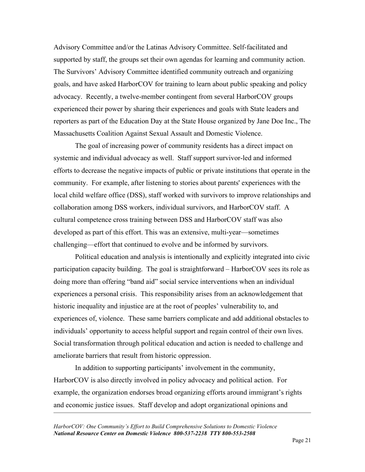Advisory Committee and/or the Latinas Advisory Committee. Self-facilitated and supported by staff, the groups set their own agendas for learning and community action. The Survivors' Advisory Committee identified community outreach and organizing goals, and have asked HarborCOV for training to learn about public speaking and policy advocacy. Recently, a twelve-member contingent from several HarborCOV groups experienced their power by sharing their experiences and goals with State leaders and reporters as part of the Education Day at the State House organized by Jane Doe Inc., The Massachusetts Coalition Against Sexual Assault and Domestic Violence.

The goal of increasing power of community residents has a direct impact on systemic and individual advocacy as well. Staff support survivor-led and informed efforts to decrease the negative impacts of public or private institutions that operate in the community. For example, after listening to stories about parents' experiences with the local child welfare office (DSS), staff worked with survivors to improve relationships and collaboration among DSS workers, individual survivors, and HarborCOV staff. A cultural competence cross training between DSS and HarborCOV staff was also developed as part of this effort. This was an extensive, multi-year—sometimes challenging—effort that continued to evolve and be informed by survivors.

Political education and analysis is intentionally and explicitly integrated into civic participation capacity building. The goal is straightforward – HarborCOV sees its role as doing more than offering "band aid" social service interventions when an individual experiences a personal crisis. This responsibility arises from an acknowledgement that historic inequality and injustice are at the root of peoples' vulnerability to, and experiences of, violence. These same barriers complicate and add additional obstacles to individuals' opportunity to access helpful support and regain control of their own lives. Social transformation through political education and action is needed to challenge and ameliorate barriers that result from historic oppression.

In addition to supporting participants' involvement in the community, HarborCOV is also directly involved in policy advocacy and political action. For example, the organization endorses broad organizing efforts around immigrant's rights and economic justice issues. Staff develop and adopt organizational opinions and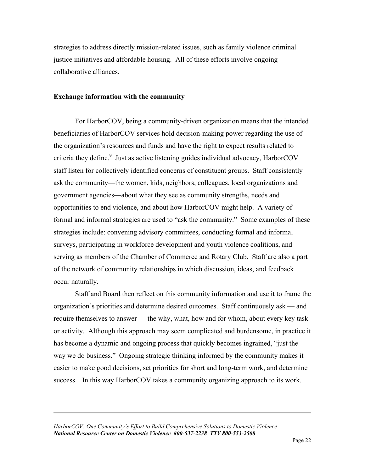strategies to address directly mission-related issues, such as family violence criminal justice initiatives and affordable housing. All of these efforts involve ongoing collaborative alliances.

#### **Exchange information with the community**

For HarborCOV, being a community-driven organization means that the intended beneficiaries of HarborCOV services hold decision-making power regarding the use of the organization's resources and funds and have the right to expect results related to criteria they define. $9$  Just as active listening guides individual advocacy, HarborCOV staff listen for collectively identified concerns of constituent groups. Staff consistently ask the community—the women, kids, neighbors, colleagues, local organizations and government agencies—about what they see as community strengths, needs and opportunities to end violence, and about how HarborCOV might help. A variety of formal and informal strategies are used to "ask the community." Some examples of these strategies include: convening advisory committees, conducting formal and informal surveys, participating in workforce development and youth violence coalitions, and serving as members of the Chamber of Commerce and Rotary Club. Staff are also a part of the network of community relationships in which discussion, ideas, and feedback occur naturally.

Staff and Board then reflect on this community information and use it to frame the organization's priorities and determine desired outcomes. Staff continuously ask — and require themselves to answer — the why, what, how and for whom, about every key task or activity. Although this approach may seem complicated and burdensome, in practice it has become a dynamic and ongoing process that quickly becomes ingrained, "just the way we do business." Ongoing strategic thinking informed by the community makes it easier to make good decisions, set priorities for short and long-term work, and determine success. In this way HarborCOV takes a community organizing approach to its work.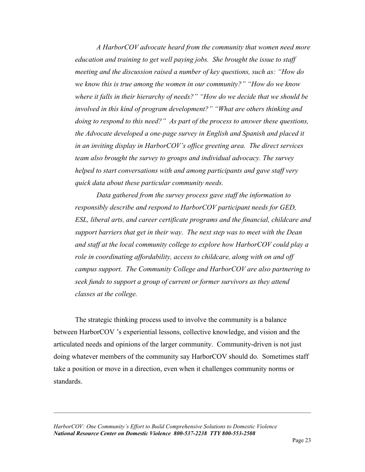*A HarborCOV advocate heard from the community that women need more education and training to get well paying jobs. She brought the issue to staff meeting and the discussion raised a number of key questions, such as: "How do we know this is true among the women in our community?" "How do we know where it falls in their hierarchy of needs?" "How do we decide that we should be involved in this kind of program development?" "What are others thinking and doing to respond to this need?" As part of the process to answer these questions, the Advocate developed a one-page survey in English and Spanish and placed it in an inviting display in HarborCOV's office greeting area. The direct services team also brought the survey to groups and individual advocacy. The survey helped to start conversations with and among participants and gave staff very quick data about these particular community needs.*

*Data gathered from the survey process gave staff the information to responsibly describe and respond to HarborCOV participant needs for GED, ESL, liberal arts, and career certificate programs and the financial, childcare and support barriers that get in their way. The next step was to meet with the Dean and staff at the local community college to explore how HarborCOV could play a role in coordinating affordability, access to childcare, along with on and off campus support. The Community College and HarborCOV are also partnering to seek funds to support a group of current or former survivors as they attend classes at the college.*

The strategic thinking process used to involve the community is a balance between HarborCOV 's experiential lessons, collective knowledge, and vision and the articulated needs and opinions of the larger community. Community-driven is not just doing whatever members of the community say HarborCOV should do. Sometimes staff take a position or move in a direction, even when it challenges community norms or standards.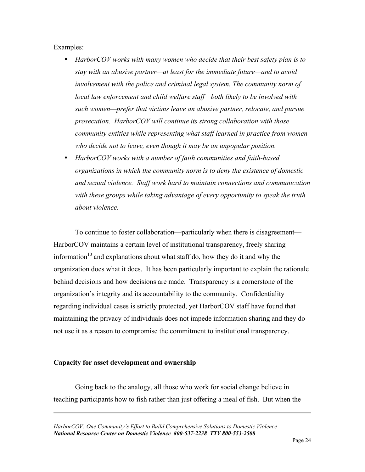Examples:

- *HarborCOV works with many women who decide that their best safety plan is to stay with an abusive partner—at least for the immediate future—and to avoid involvement with the police and criminal legal system. The community norm of local law enforcement and child welfare staff—both likely to be involved with such women—prefer that victims leave an abusive partner, relocate, and pursue prosecution. HarborCOV will continue its strong collaboration with those community entities while representing what staff learned in practice from women who decide not to leave, even though it may be an unpopular position.*
- *HarborCOV works with a number of faith communities and faith-based organizations in which the community norm is to deny the existence of domestic and sexual violence. Staff work hard to maintain connections and communication with these groups while taking advantage of every opportunity to speak the truth about violence.*

To continue to foster collaboration—particularly when there is disagreement— HarborCOV maintains a certain level of institutional transparency, freely sharing information<sup>10</sup> and explanations about what staff do, how they do it and why the organization does what it does. It has been particularly important to explain the rationale behind decisions and how decisions are made. Transparency is a cornerstone of the organization's integrity and its accountability to the community. Confidentiality regarding individual cases is strictly protected, yet HarborCOV staff have found that maintaining the privacy of individuals does not impede information sharing and they do not use it as a reason to compromise the commitment to institutional transparency.

### **Capacity for asset development and ownership**

Going back to the analogy, all those who work for social change believe in teaching participants how to fish rather than just offering a meal of fish. But when the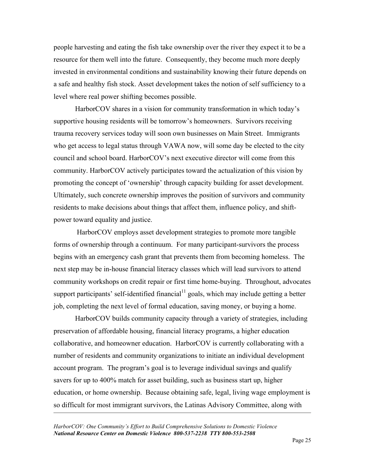people harvesting and eating the fish take ownership over the river they expect it to be a resource for them well into the future. Consequently, they become much more deeply invested in environmental conditions and sustainability knowing their future depends on a safe and healthy fish stock. Asset development takes the notion of self sufficiency to a level where real power shifting becomes possible.

HarborCOV shares in a vision for community transformation in which today's supportive housing residents will be tomorrow's homeowners. Survivors receiving trauma recovery services today will soon own businesses on Main Street. Immigrants who get access to legal status through VAWA now, will some day be elected to the city council and school board. HarborCOV's next executive director will come from this community. HarborCOV actively participates toward the actualization of this vision by promoting the concept of 'ownership' through capacity building for asset development. Ultimately, such concrete ownership improves the position of survivors and community residents to make decisions about things that affect them, influence policy, and shiftpower toward equality and justice.

 HarborCOV employs asset development strategies to promote more tangible forms of ownership through a continuum. For many participant-survivors the process begins with an emergency cash grant that prevents them from becoming homeless. The next step may be in-house financial literacy classes which will lead survivors to attend community workshops on credit repair or first time home-buying. Throughout, advocates support participants' self-identified financial $11$  goals, which may include getting a better job, completing the next level of formal education, saving money, or buying a home.

HarborCOV builds community capacity through a variety of strategies, including preservation of affordable housing, financial literacy programs, a higher education collaborative, and homeowner education. HarborCOV is currently collaborating with a number of residents and community organizations to initiate an individual development account program. The program's goal is to leverage individual savings and qualify savers for up to 400% match for asset building, such as business start up, higher education, or home ownership. Because obtaining safe, legal, living wage employment is so difficult for most immigrant survivors, the Latinas Advisory Committee, along with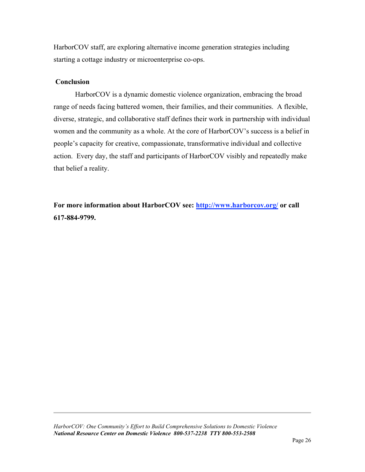HarborCOV staff, are exploring alternative income generation strategies including starting a cottage industry or microenterprise co-ops.

### **Conclusion**

HarborCOV is a dynamic domestic violence organization, embracing the broad range of needs facing battered women, their families, and their communities. A flexible, diverse, strategic, and collaborative staff defines their work in partnership with individual women and the community as a whole. At the core of HarborCOV's success is a belief in people's capacity for creative, compassionate, transformative individual and collective action. Every day, the staff and participants of HarborCOV visibly and repeatedly make that belief a reality.

For more information about HarborCOV see: **http://www.harborcov.org/** or call **617-884-9799.**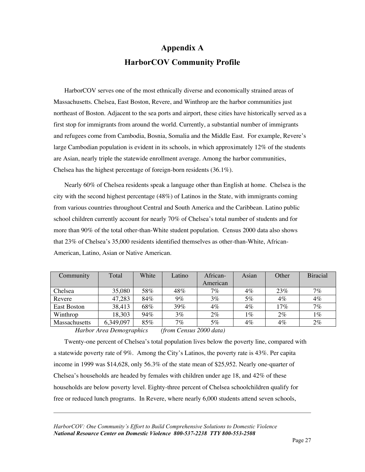# **Appendix A HarborCOV Community Profile**

HarborCOV serves one of the most ethnically diverse and economically strained areas of Massachusetts. Chelsea, East Boston, Revere, and Winthrop are the harbor communities just northeast of Boston. Adjacent to the sea ports and airport, these cities have historically served as a first stop for immigrants from around the world. Currently, a substantial number of immigrants and refugees come from Cambodia, Bosnia, Somalia and the Middle East. For example, Revere's large Cambodian population is evident in its schools, in which approximately 12% of the students are Asian, nearly triple the statewide enrollment average. Among the harbor communities, Chelsea has the highest percentage of foreign-born residents (36.1%).

Nearly 60% of Chelsea residents speak a language other than English at home. Chelsea is the city with the second highest percentage (48%) of Latinos in the State, with immigrants coming from various countries throughout Central and South America and the Caribbean. Latino public school children currently account for nearly 70% of Chelsea's total number of students and for more than 90% of the total other-than-White student population. Census 2000 data also shows that 23% of Chelsea's 35,000 residents identified themselves as other-than-White, African-American, Latino, Asian or Native American.

| Community            | Total     | White | Latino | African- | Asian | Other | <b>Biracial</b> |
|----------------------|-----------|-------|--------|----------|-------|-------|-----------------|
|                      |           |       |        | American |       |       |                 |
| Chelsea              | 35,080    | 58%   | 48%    | 7%       | $4\%$ | 23%   | 7%              |
| Revere               | 47,283    | 84%   | $9\%$  | 3%       | 5%    | $4\%$ | 4%              |
| East Boston          | 38,413    | 68%   | 39%    | 4%       | $4\%$ | 17%   | 7%              |
| Winthrop             | 18,303    | 94%   | $3\%$  | 2%       | 1%    | $2\%$ | $1\%$           |
| <b>Massachusetts</b> | 6,349,097 | 85%   | 7%     | 5%       | 4%    | $4\%$ | 2%              |

*Harbor Area Demographics (from Census 2000 data)*

Twenty-one percent of Chelsea's total population lives below the poverty line, compared with a statewide poverty rate of 9%. Among the City's Latinos, the poverty rate is 43%. Per capita income in 1999 was \$14,628, only 56.3% of the state mean of \$25,952. Nearly one-quarter of Chelsea's households are headed by females with children under age 18, and 42% of these households are below poverty level. Eighty-three percent of Chelsea schoolchildren qualify for free or reduced lunch programs. In Revere, where nearly 6,000 students attend seven schools,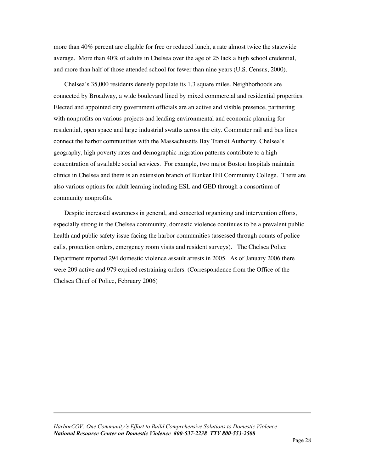more than 40% percent are eligible for free or reduced lunch, a rate almost twice the statewide average. More than 40% of adults in Chelsea over the age of 25 lack a high school credential, and more than half of those attended school for fewer than nine years (U.S. Census, 2000).

Chelsea's 35,000 residents densely populate its 1.3 square miles. Neighborhoods are connected by Broadway, a wide boulevard lined by mixed commercial and residential properties. Elected and appointed city government officials are an active and visible presence, partnering with nonprofits on various projects and leading environmental and economic planning for residential, open space and large industrial swaths across the city. Commuter rail and bus lines connect the harbor communities with the Massachusetts Bay Transit Authority. Chelsea's geography, high poverty rates and demographic migration patterns contribute to a high concentration of available social services. For example, two major Boston hospitals maintain clinics in Chelsea and there is an extension branch of Bunker Hill Community College. There are also various options for adult learning including ESL and GED through a consortium of community nonprofits.

Despite increased awareness in general, and concerted organizing and intervention efforts, especially strong in the Chelsea community, domestic violence continues to be a prevalent public health and public safety issue facing the harbor communities (assessed through counts of police calls, protection orders, emergency room visits and resident surveys). The Chelsea Police Department reported 294 domestic violence assault arrests in 2005. As of January 2006 there were 209 active and 979 expired restraining orders. (Correspondence from the Office of the Chelsea Chief of Police, February 2006)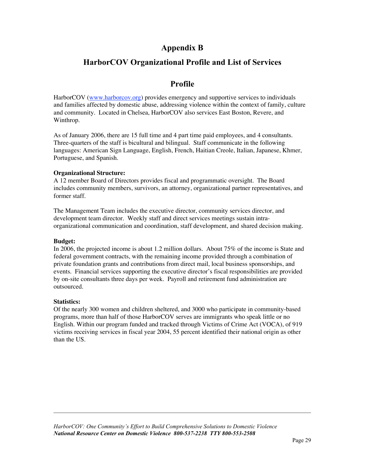## **Appendix B**

## **HarborCOV Organizational Profile and List of Services**

## **Profile**

HarborCOV (www.harborcov.org) provides emergency and supportive services to individuals and families affected by domestic abuse, addressing violence within the context of family, culture and community. Located in Chelsea, HarborCOV also services East Boston, Revere, and Winthrop.

As of January 2006, there are 15 full time and 4 part time paid employees, and 4 consultants. Three-quarters of the staff is bicultural and bilingual. Staff communicate in the following languages: American Sign Language, English, French, Haitian Creole, Italian, Japanese, Khmer, Portuguese, and Spanish.

#### **Organizational Structure:**

A 12 member Board of Directors provides fiscal and programmatic oversight. The Board includes community members, survivors, an attorney, organizational partner representatives, and former staff.

The Management Team includes the executive director, community services director, and development team director. Weekly staff and direct services meetings sustain intraorganizational communication and coordination, staff development, and shared decision making.

#### **Budget:**

In 2006, the projected income is about 1.2 million dollars. About 75% of the income is State and federal government contracts, with the remaining income provided through a combination of private foundation grants and contributions from direct mail, local business sponsorships, and events. Financial services supporting the executive director's fiscal responsibilities are provided by on-site consultants three days per week. Payroll and retirement fund administration are outsourced.

#### **Statistics:**

Of the nearly 300 women and children sheltered, and 3000 who participate in community-based programs, more than half of those HarborCOV serves are immigrants who speak little or no English. Within our program funded and tracked through Victims of Crime Act (VOCA), of 919 victims receiving services in fiscal year 2004, 55 percent identified their national origin as other than the US.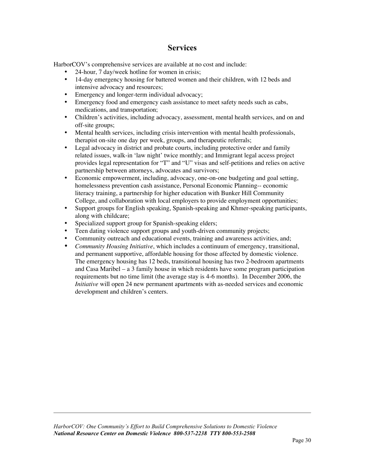## **Services**

HarborCOV's comprehensive services are available at no cost and include:

- 24-hour, 7 day/week hotline for women in crisis;
- 14-day emergency housing for battered women and their children, with 12 beds and intensive advocacy and resources;
- Emergency and longer-term individual advocacy;
- Emergency food and emergency cash assistance to meet safety needs such as cabs, medications, and transportation;
- Children's activities, including advocacy, assessment, mental health services, and on and off-site groups;
- Mental health services, including crisis intervention with mental health professionals, therapist on-site one day per week, groups, and therapeutic referrals;
- Legal advocacy in district and probate courts, including protective order and family related issues, walk-in 'law night' twice monthly; and Immigrant legal access project provides legal representation for "T" and "U" visas and self-petitions and relies on active partnership between attorneys, advocates and survivors;
- Economic empowerment, including, advocacy, one-on-one budgeting and goal setting, homelessness prevention cash assistance, Personal Economic Planning-- economic literacy training, a partnership for higher education with Bunker Hill Community College, and collaboration with local employers to provide employment opportunities;
- Support groups for English speaking, Spanish-speaking and Khmer-speaking participants, along with childcare;
- Specialized support group for Spanish-speaking elders;
- Teen dating violence support groups and youth-driven community projects;
- Community outreach and educational events, training and awareness activities, and;
- *Community Housing Initiative*, which includes a continuum of emergency, transitional, and permanent supportive, affordable housing for those affected by domestic violence. The emergency housing has 12 beds, transitional housing has two 2-bedroom apartments and Casa Maribel – a 3 family house in which residents have some program participation requirements but no time limit (the average stay is 4-6 months). In December 2006, the *Initiative* will open 24 new permanent apartments with as-needed services and economic development and children's centers.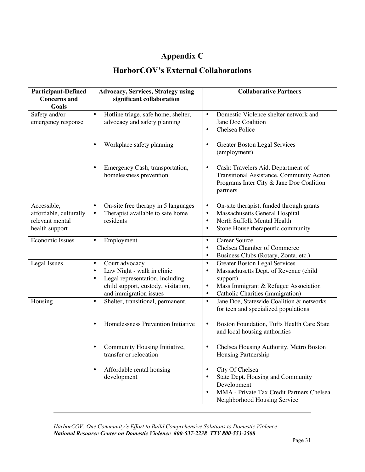# **Appendix C**

# **HarborCOV's External Collaborations**

| <b>Participant-Defined</b><br><b>Concerns</b> and                          | <b>Advocacy, Services, Strategy using</b><br>significant collaboration                                                                                                                  | <b>Collaborative Partners</b>                                                                                                                                                                                             |
|----------------------------------------------------------------------------|-----------------------------------------------------------------------------------------------------------------------------------------------------------------------------------------|---------------------------------------------------------------------------------------------------------------------------------------------------------------------------------------------------------------------------|
| Goals                                                                      |                                                                                                                                                                                         |                                                                                                                                                                                                                           |
| Safety and/or<br>emergency response                                        | Hotline triage, safe home, shelter,<br>$\bullet$<br>advocacy and safety planning                                                                                                        | Domestic Violence shelter network and<br>$\bullet$<br>Jane Doe Coalition<br>Chelsea Police<br>$\bullet$                                                                                                                   |
|                                                                            | Workplace safety planning<br>$\bullet$                                                                                                                                                  | <b>Greater Boston Legal Services</b><br>$\bullet$<br>(employment)                                                                                                                                                         |
|                                                                            | Emergency Cash, transportation,<br>$\bullet$<br>homelessness prevention                                                                                                                 | Cash: Travelers Aid, Department of<br>$\bullet$<br>Transitional Assistance, Community Action<br>Programs Inter City & Jane Doe Coalition<br>partners                                                                      |
| Accessible,<br>affordable, culturally<br>relevant mental<br>health support | On-site free therapy in 5 languages<br>$\bullet$<br>Therapist available to safe home<br>$\bullet$<br>residents                                                                          | On-site therapist, funded through grants<br>$\bullet$<br>Massachusetts General Hospital<br>$\bullet$<br>North Suffolk Mental Health<br>$\bullet$<br>Stone House therapeutic community<br>$\bullet$                        |
| <b>Economic Issues</b>                                                     | Employment<br>$\bullet$                                                                                                                                                                 | <b>Career Source</b><br>$\bullet$<br>Chelsea Chamber of Commerce<br>$\bullet$<br>Business Clubs (Rotary, Zonta, etc.)<br>$\bullet$                                                                                        |
| <b>Legal Issues</b>                                                        | Court advocacy<br>$\bullet$<br>Law Night - walk in clinic<br>$\bullet$<br>Legal representation, including<br>$\bullet$<br>child support, custody, visitation,<br>and immigration issues | <b>Greater Boston Legal Services</b><br>$\bullet$<br>Massachusetts Dept. of Revenue (child<br>$\bullet$<br>support)<br>Mass Immigrant & Refugee Association<br>$\bullet$<br>Catholic Charities (immigration)<br>$\bullet$ |
| Housing                                                                    | Shelter, transitional, permanent,<br>$\bullet$                                                                                                                                          | Jane Doe, Statewide Coalition & networks<br>$\bullet$<br>for teen and specialized populations                                                                                                                             |
|                                                                            | Homelessness Prevention Initiative<br>$\bullet$                                                                                                                                         | Boston Foundation, Tufts Health Care State<br>$\bullet$<br>and local housing authorities                                                                                                                                  |
|                                                                            | Community Housing Initiative,<br>transfer or relocation                                                                                                                                 | Chelsea Housing Authority, Metro Boston<br>$\bullet$<br>Housing Partnership                                                                                                                                               |
|                                                                            | Affordable rental housing<br>$\bullet$<br>development                                                                                                                                   | City Of Chelsea<br>$\bullet$<br>State Dept. Housing and Community<br>$\bullet$<br>Development<br>MMA - Private Tax Credit Partners Chelsea<br>$\bullet$<br>Neighborhood Housing Service                                   |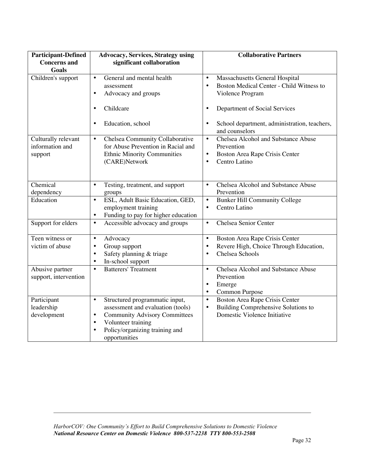| <b>Participant-Defined</b> | <b>Advocacy, Services, Strategy using</b>         | <b>Collaborative Partners</b>                             |
|----------------------------|---------------------------------------------------|-----------------------------------------------------------|
| <b>Concerns</b> and        | significant collaboration                         |                                                           |
| <b>Goals</b>               |                                                   |                                                           |
| Children's support         | General and mental health<br>$\bullet$            | Massachusetts General Hospital<br>$\bullet$               |
|                            | assessment                                        | Boston Medical Center - Child Witness to<br>$\bullet$     |
|                            | Advocacy and groups<br>$\bullet$                  | Violence Program                                          |
|                            |                                                   |                                                           |
|                            | Childcare<br>$\bullet$                            | Department of Social Services<br>$\bullet$                |
|                            |                                                   |                                                           |
|                            | Education, school<br>$\bullet$                    | School department, administration, teachers,<br>$\bullet$ |
|                            |                                                   | and counselors                                            |
| Culturally relevant        | Chelsea Community Collaborative<br>$\bullet$      | <b>Chelsea Alcohol and Substance Abuse</b><br>$\bullet$   |
| information and            | for Abuse Prevention in Racial and                | Prevention                                                |
| support                    | <b>Ethnic Minority Communities</b>                | Boston Area Rape Crisis Center<br>$\bullet$               |
|                            | (CARE)Network                                     | Centro Latino<br>$\bullet$                                |
|                            |                                                   |                                                           |
|                            |                                                   |                                                           |
| Chemical                   | $\bullet$<br>Testing, treatment, and support      | <b>Chelsea Alcohol and Substance Abuse</b><br>$\bullet$   |
| dependency                 | groups                                            | Prevention                                                |
| Education                  | ESL, Adult Basic Education, GED,<br>$\bullet$     | <b>Bunker Hill Community College</b><br>$\bullet$         |
|                            | employment training                               | Centro Latino<br>$\bullet$                                |
|                            | Funding to pay for higher education<br>$\bullet$  |                                                           |
| Support for elders         | Accessible advocacy and groups<br>$\bullet$       | Chelsea Senior Center<br>$\bullet$                        |
|                            |                                                   |                                                           |
| Teen witness or            | Advocacy<br>$\bullet$                             | Boston Area Rape Crisis Center<br>$\bullet$               |
| victim of abuse            | Group support<br>$\bullet$                        | Revere High, Choice Through Education,<br>$\bullet$       |
|                            | Safety planning & triage<br>$\bullet$             | Chelsea Schools<br>$\bullet$                              |
|                            | In-school support<br>$\bullet$                    |                                                           |
| Abusive partner            | Batterers' Treatment<br>$\bullet$                 | Chelsea Alcohol and Substance Abuse<br>$\bullet$          |
| support, intervention      |                                                   | Prevention                                                |
|                            |                                                   | Emerge<br>$\bullet$                                       |
|                            |                                                   | Common Purpose<br>$\bullet$                               |
| Participant                | Structured programmatic input,<br>$\bullet$       | Boston Area Rape Crisis Center<br>$\bullet$               |
| leadership                 | assessment and evaluation (tools)                 | Building Comprehensive Solutions to<br>$\bullet$          |
| development                | <b>Community Advisory Committees</b><br>$\bullet$ | Domestic Violence Initiative                              |
|                            | Volunteer training<br>$\bullet$                   |                                                           |
|                            | Policy/organizing training and<br>$\bullet$       |                                                           |
|                            | opportunities                                     |                                                           |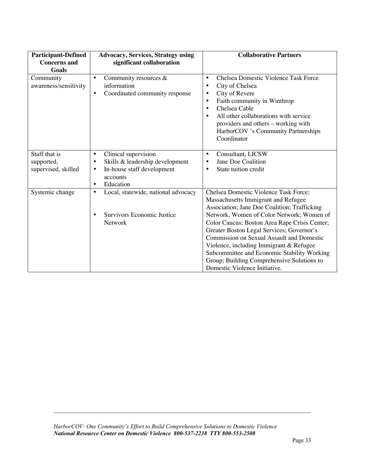| <b>Participant-Defined</b><br><b>Concerns and</b>  | <b>Advocacy, Services, Strategy using</b><br>significant collaboration                                                                                             | <b>Collaborative Partners</b>                                                                                                                                                                                                                                                                                                                                                                                                                                                                        |
|----------------------------------------------------|--------------------------------------------------------------------------------------------------------------------------------------------------------------------|------------------------------------------------------------------------------------------------------------------------------------------------------------------------------------------------------------------------------------------------------------------------------------------------------------------------------------------------------------------------------------------------------------------------------------------------------------------------------------------------------|
| Goals<br>Community<br>awareness/sensitivity        | Community resources &<br>$\bullet$<br>information<br>Coordinated community response<br>$\bullet$                                                                   | Chelsea Domestic Violence Task Force<br>$\bullet$<br>City of Chelsea<br>$\bullet$<br>City of Revere<br>$\bullet$<br>Faith community in Winthrop<br>$\bullet$<br>Chelsea Cable<br>$\bullet$<br>All other collaborations with service<br>$\bullet$<br>providers and others - working with<br>HarborCOV 's Community Partnerships<br>Coordinator                                                                                                                                                        |
| Staff that is<br>supported,<br>supervised, skilled | Clinical supervision<br>$\bullet$<br>Skills & leadership development<br>$\bullet$<br>In-house staff development<br>$\bullet$<br>accounts<br>Education<br>$\bullet$ | Consultant, LICSW<br>$\bullet$<br>Jane Doe Coalition<br>$\bullet$<br>State tuition credit<br>$\bullet$                                                                                                                                                                                                                                                                                                                                                                                               |
| Systemic change                                    | Local, statewide, national advocacy<br>$\bullet$<br>Survivors Economic Justice<br>Network                                                                          | Chelsea Domestic Violence Task Force;<br>Massachusetts Immigrant and Refugee<br>Association; Jane Doe Coalition; Trafficking<br>Network, Women of Color Network; Women of<br>Color Caucus; Boston Area Rape Crisis Center;<br>Greater Boston Legal Services; Governor's<br><b>Commission on Sexual Assault and Domestic</b><br>Violence, including Immigrant & Refugee<br>Subcommittee and Economic Stability Working<br>Group; Building Comprehensive Solutions to<br>Domestic Violence Initiative. |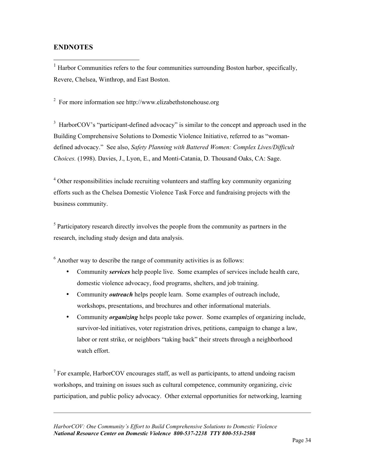## **ENDNOTES**

<sup>1</sup> Harbor Communities refers to the four communities surrounding Boston harbor, specifically, Revere, Chelsea, Winthrop, and East Boston.

<sup>2</sup> For more information see http://www.elizabethstonehouse.org

 $3$  HarborCOV's "participant-defined advocacy" is similar to the concept and approach used in the Building Comprehensive Solutions to Domestic Violence Initiative, referred to as "womandefined advocacy." See also, *Safety Planning with Battered Women: Complex Lives/Difficult Choices.* (1998). Davies, J., Lyon, E., and Monti-Catania, D. Thousand Oaks, CA: Sage.

<sup>4</sup> Other responsibilities include recruiting volunteers and staffing key community organizing efforts such as the Chelsea Domestic Violence Task Force and fundraising projects with the business community.

 $<sup>5</sup>$  Participatory research directly involves the people from the community as partners in the</sup> research, including study design and data analysis.

 $6$  Another way to describe the range of community activities is as follows:

- Community *services* help people live. Some examples of services include health care, domestic violence advocacy, food programs, shelters, and job training.
- Community *outreach* helps people learn. Some examples of outreach include, workshops, presentations, and brochures and other informational materials.
- Community *organizing* helps people take power. Some examples of organizing include, survivor-led initiatives, voter registration drives, petitions, campaign to change a law, labor or rent strike, or neighbors "taking back" their streets through a neighborhood watch effort.

 $<sup>7</sup>$  For example, HarborCOV encourages staff, as well as participants, to attend undoing racism</sup> workshops, and training on issues such as cultural competence, community organizing, civic participation, and public policy advocacy. Other external opportunities for networking, learning